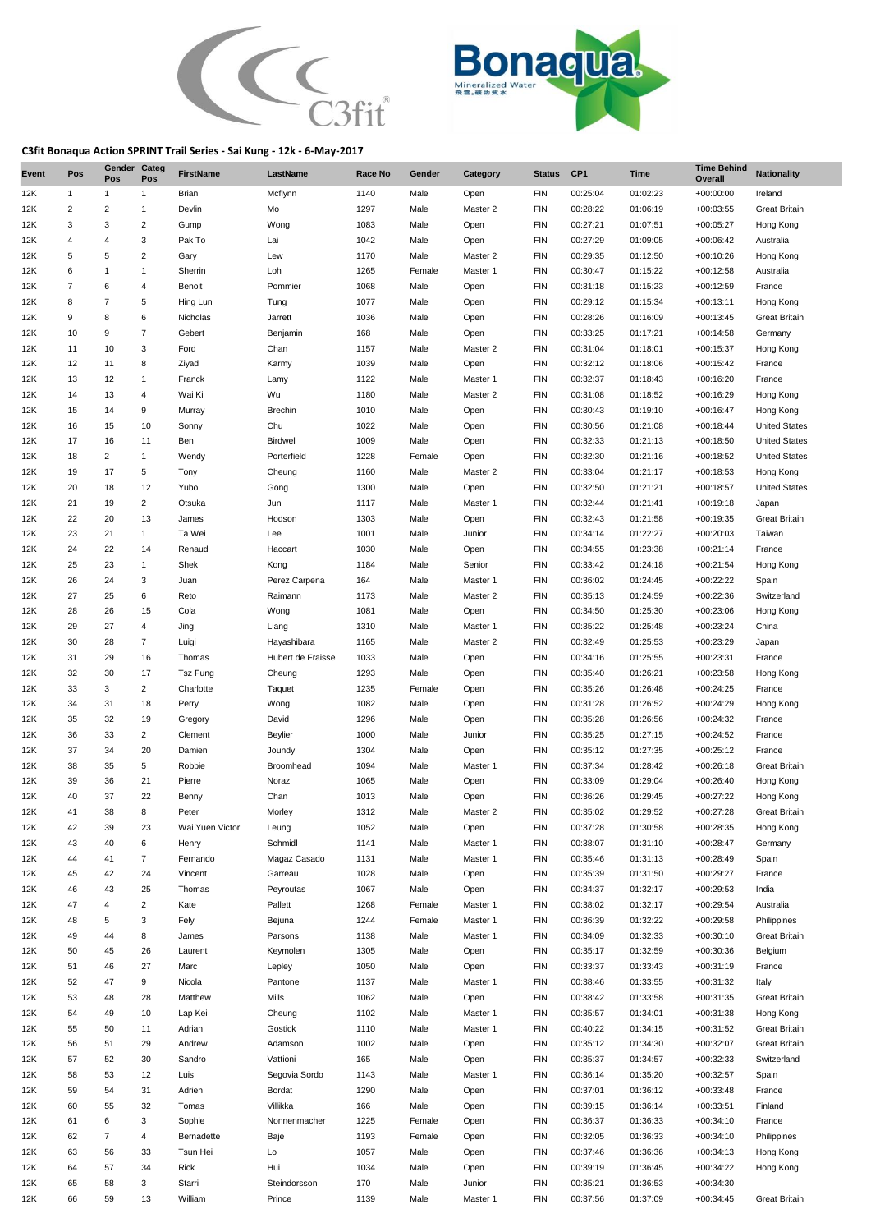



## **C3fit Bonaqua Action SPRINT Trail Series - Sai Kung - 12k - 6-May-2017**

| Event      | Pos            | Gender Categ<br>Pos | Pos                  | <b>FirstName</b> | LastName          | Race No      | Gender       | Category            | <b>Status</b>     | CP <sub>1</sub>      | <b>Time</b>          | <b>Time Behind</b><br>Overall | <b>Nationality</b>            |
|------------|----------------|---------------------|----------------------|------------------|-------------------|--------------|--------------|---------------------|-------------------|----------------------|----------------------|-------------------------------|-------------------------------|
| 12K        | $\mathbf{1}$   | 1                   | $\mathbf{1}$         | Brian            | Mcflynn           | 1140         | Male         | Open                | <b>FIN</b>        | 00:25:04             | 01:02:23             | $+00:00:00$                   | Ireland                       |
| 12K        | $\overline{2}$ | 2                   | $\mathbf{1}$         | Devlin           | Mo                | 1297         | Male         | Master 2            | <b>FIN</b>        | 00:28:22             | 01:06:19             | $+00:03:55$                   | <b>Great Britain</b>          |
| 12K        | 3              | 3                   | $\overline{2}$       | Gump             | Wong              | 1083         | Male         | Open                | <b>FIN</b>        | 00:27:21             | 01:07:51             | $+00:05:27$                   | Hong Kong                     |
| 12K        | $\overline{4}$ | 4                   | 3                    | Pak To           | Lai               | 1042         | Male         | Open                | <b>FIN</b>        | 00:27:29             | 01:09:05             | +00:06:42                     | Australia                     |
| 12K        | 5              | 5                   | $\boldsymbol{2}$     | Gary             | Lew               | 1170         | Male         | Master 2            | <b>FIN</b>        | 00:29:35             | 01:12:50             | $+00:10:26$                   | Hong Kong                     |
| 12K        | 6              | 1                   | $\mathbf{1}$         | Sherrin          | Loh               | 1265         | Female       | Master 1            | <b>FIN</b>        | 00:30:47             | 01:15:22             | $+00:12:58$                   | Australia                     |
| 12K        | $\overline{7}$ | 6                   | 4                    | Benoit           | Pommier           | 1068         | Male         | Open                | <b>FIN</b>        | 00:31:18             | 01:15:23             | $+00:12:59$                   | France                        |
| 12K        | 8              | 7                   | 5                    | Hing Lun         | Tung              | 1077         | Male         | Open                | <b>FIN</b>        | 00:29:12             | 01:15:34             | $+00:13:11$                   | Hong Kong                     |
| 12K        | 9              | 8                   | 6                    | Nicholas         | Jarrett           | 1036         | Male         | Open                | <b>FIN</b>        | 00:28:26             | 01:16:09             | $+00:13:45$                   | <b>Great Britain</b>          |
| 12K        | 10             | 9                   | $\overline{7}$       | Gebert           | Benjamin          | 168          | Male         | Open                | <b>FIN</b>        | 00:33:25             | 01:17:21             | $+00:14:58$                   | Germany                       |
| 12K        | 11             | 10                  | 3                    | Ford             | Chan              | 1157         | Male         | Master 2            | <b>FIN</b>        | 00:31:04             | 01:18:01             | $+00:15:37$                   | Hong Kong                     |
| 12K        | 12             | 11                  | 8                    | Ziyad            | Karmy             | 1039         | Male         | Open                | <b>FIN</b>        | 00:32:12             | 01:18:06             | $+00:15:42$                   | France                        |
| 12K        | 13             | 12                  | $\mathbf{1}$         | Franck           | Lamy              | 1122         | Male         | Master 1            | <b>FIN</b>        | 00:32:37             | 01:18:43             | $+00:16:20$                   | France                        |
| 12K        | 14             | 13                  | 4                    | Wai Ki           | Wu                | 1180         | Male         | Master 2            | <b>FIN</b>        | 00:31:08             | 01:18:52             | $+00:16:29$                   | Hong Kong                     |
| 12K        | 15             | 14                  | 9                    | Murray           | <b>Brechin</b>    | 1010         | Male         | Open                | <b>FIN</b>        | 00:30:43             | 01:19:10             | $+00:16:47$                   | Hong Kong                     |
| 12K        | 16             | 15                  | 10                   | Sonny            | Chu               | 1022         | Male         | Open                | <b>FIN</b>        | 00:30:56             | 01:21:08             | $+00:18:44$                   | <b>United States</b>          |
| 12K        | 17             | 16                  | 11                   | Ben              | Birdwell          | 1009         | Male         | Open                | <b>FIN</b>        | 00:32:33             | 01:21:13             | $+00:18:50$                   | <b>United States</b>          |
| 12K        | 18             | $\overline{2}$      | $\mathbf{1}$         | Wendy            | Porterfield       | 1228         | Female       | Open                | <b>FIN</b>        | 00:32:30             | 01:21:16             | $+00:18:52$                   | <b>United States</b>          |
| 12K        | 19             | 17                  | 5                    | Tony             | Cheung            | 1160         | Male         | Master 2            | <b>FIN</b>        | 00:33:04             | 01:21:17             | $+00:18:53$                   | Hong Kong                     |
| 12K        | 20             | 18                  | 12<br>$\overline{c}$ | Yubo             | Gong              | 1300         | Male         | Open                | <b>FIN</b>        | 00:32:50             | 01:21:21             | $+00:18:57$<br>$+00:19:18$    | <b>United States</b>          |
| 12K<br>12K | 21<br>22       | 19<br>20            | 13                   | Otsuka           | Jun<br>Hodson     | 1117<br>1303 | Male<br>Male | Master 1<br>Open    | <b>FIN</b><br>FIN | 00:32:44<br>00:32:43 | 01:21:41<br>01:21:58 | $+00:19:35$                   | Japan<br><b>Great Britain</b> |
| 12K        | 23             | 21                  | $\mathbf{1}$         | James<br>Ta Wei  | Lee               | 1001         | Male         | Junior              | <b>FIN</b>        | 00:34:14             | 01:22:27             | $+00:20:03$                   | Taiwan                        |
| 12K        | 24             | 22                  | 14                   | Renaud           | Haccart           | 1030         | Male         | Open                | <b>FIN</b>        | 00:34:55             | 01:23:38             | $+00:21:14$                   | France                        |
| 12K        | 25             | 23                  | $\mathbf{1}$         | Shek             | Kong              | 1184         | Male         | Senior              | <b>FIN</b>        | 00:33:42             | 01:24:18             | $+00:21:54$                   | Hong Kong                     |
| 12K        | 26             | 24                  | 3                    |                  | Perez Carpena     | 164          | Male         | Master 1            | <b>FIN</b>        | 00:36:02             | 01:24:45             | +00:22:22                     | Spain                         |
| 12K        | 27             | 25                  | 6                    | Juan<br>Reto     | Raimann           | 1173         | Male         | Master 2            | <b>FIN</b>        | 00:35:13             | 01:24:59             | $+00:22:36$                   | Switzerland                   |
| 12K        | 28             | 26                  | 15                   | Cola             | Wong              | 1081         | Male         | Open                | <b>FIN</b>        | 00:34:50             | 01:25:30             | $+00:23:06$                   | Hong Kong                     |
| 12K        | 29             | 27                  | 4                    | Jing             | Liang             | 1310         | Male         | Master 1            | <b>FIN</b>        | 00:35:22             | 01:25:48             | $+00:23:24$                   | China                         |
| 12K        | 30             | 28                  | $\overline{7}$       | Luigi            | Hayashibara       | 1165         | Male         | Master 2            | <b>FIN</b>        | 00:32:49             | 01:25:53             | $+00:23:29$                   | Japan                         |
| 12K        | 31             | 29                  | 16                   | Thomas           | Hubert de Fraisse | 1033         | Male         | Open                | <b>FIN</b>        | 00:34:16             | 01:25:55             | $+00:23:31$                   | France                        |
| 12K        | 32             | 30                  | 17                   | Tsz Fung         | Cheung            | 1293         | Male         | Open                | <b>FIN</b>        | 00:35:40             | 01:26:21             | $+00:23:58$                   | Hong Kong                     |
| 12K        | 33             | 3                   | $\overline{2}$       | Charlotte        | Taquet            | 1235         | Female       | Open                | <b>FIN</b>        | 00:35:26             | 01:26:48             | $+00:24:25$                   | France                        |
| 12K        | 34             | 31                  | 18                   | Perry            | Wong              | 1082         | Male         | Open                | <b>FIN</b>        | 00:31:28             | 01:26:52             | $+00:24:29$                   | Hong Kong                     |
| 12K        | 35             | 32                  | 19                   | Gregory          | David             | 1296         | Male         | Open                | <b>FIN</b>        | 00:35:28             | 01:26:56             | $+00:24:32$                   | France                        |
| 12K        | 36             | 33                  | 2                    | Clement          | Beylier           | 1000         | Male         | Junior              | <b>FIN</b>        | 00:35:25             | 01:27:15             | $+00:24:52$                   | France                        |
| 12K        | 37             | 34                  | 20                   | Damien           | Joundy            | 1304         | Male         | Open                | <b>FIN</b>        | 00:35:12             | 01:27:35             | $+00:25:12$                   | France                        |
| 12K        | 38             | 35                  | 5                    | Robbie           | Broomhead         | 1094         | Male         | Master 1            | <b>FIN</b>        | 00:37:34             | 01:28:42             | $+00:26:18$                   | <b>Great Britain</b>          |
| 12K        | 39             | 36                  | 21                   | Pierre           | Noraz             | 1065         | Male         | Open                | <b>FIN</b>        | 00:33:09             | 01:29:04             | $+00:26:40$                   | Hong Kong                     |
| 12K        | 40             | 37                  | 22                   | Benny            | Chan              | 1013         | Male         | Open                | <b>FIN</b>        | 00:36:26             | 01:29:45             | $+00:27:22$                   | Hong Kong                     |
| 12K        | 41             | 38                  | 8                    | Peter            | Morley            | 1312         | Male         | Master <sub>2</sub> | <b>FIN</b>        | 00:35:02             | 01:29:52             | $+00:27:28$                   | <b>Great Britain</b>          |
| 12K        | 42             | 39                  | 23                   | Wai Yuen Victor  | Leung             | 1052         | Male         | Open                | <b>FIN</b>        | 00:37:28             | 01:30:58             | $+00:28:35$                   | Hong Kong                     |
| 12K        | 43             | 40                  | 6                    | Henry            | Schmidl           | 1141         | Male         | Master 1            | FIN               | 00:38:07             | 01:31:10             | $+00:28:47$                   | Germany                       |
| 12K        | 44             | 41                  | $\overline{7}$       | Fernando         | Magaz Casado      | 1131         | Male         | Master 1            | FIN               | 00:35:46             | 01:31:13             | $+00:28:49$                   | Spain                         |
| 12K        | 45             | 42                  | 24                   | Vincent          | Garreau           | 1028         | Male         | Open                | FIN               | 00:35:39             | 01:31:50             | $+00:29:27$                   | France                        |
| 12K        | 46             | 43                  | 25                   | Thomas           | Peyroutas         | 1067         | Male         | Open                | FIN               | 00:34:37             | 01:32:17             | $+00:29:53$                   | India                         |
| 12K        | 47             | 4                   | 2                    | Kate             | Pallett           | 1268         | Female       | Master 1            | FIN               | 00:38:02             | 01:32:17             | $+00:29:54$                   | Australia                     |
| 12K        | 48             | 5                   | 3                    | Fely             | Bejuna            | 1244         | Female       | Master 1            | FIN               | 00:36:39             | 01:32:22             | $+00:29:58$                   | Philippines                   |
| 12K        | 49             | 44                  | 8                    | James            | Parsons           | 1138         | Male         | Master 1            | FIN               | 00:34:09             | 01:32:33             | $+00:30:10$                   | <b>Great Britain</b>          |
| 12K        | 50             | 45                  | 26                   | Laurent          | Keymolen          | 1305         | Male         | Open                | <b>FIN</b>        | 00:35:17             | 01:32:59             | $+00:30:36$                   | Belgium                       |
| 12K        | 51             | 46                  | 27                   | Marc             | Lepley            | 1050         | Male         | Open                | <b>FIN</b>        | 00:33:37             | 01:33:43             | $+00:31:19$                   | France                        |
| 12K        | 52             | 47                  | 9                    | Nicola           | Pantone           | 1137         | Male         | Master 1            | <b>FIN</b>        | 00:38:46             | 01:33:55             | $+00:31:32$                   | Italy                         |
| 12K        | 53             | 48                  | 28                   | Matthew          | Mills             | 1062         | Male         | Open                | FIN               | 00:38:42             | 01:33:58             | $+00:31:35$                   | <b>Great Britain</b>          |
| 12K        | 54             | 49                  | 10                   | Lap Kei          | Cheung            | 1102         | Male         | Master 1            | FIN               | 00:35:57             | 01:34:01             | +00:31:38                     | Hong Kong                     |
| 12K        | 55             | 50                  | 11                   | Adrian           | Gostick           | 1110         | Male         | Master 1            | FIN               | 00:40:22             | 01:34:15             | $+00:31:52$                   | <b>Great Britain</b>          |
| 12K        | 56             | 51                  | 29                   | Andrew           | Adamson           | 1002         | Male         | Open                | FIN               | 00:35:12             | 01:34:30             | $+00:32:07$                   | <b>Great Britain</b>          |
| 12K        | 57             | 52                  | 30                   | Sandro           | Vattioni          | 165          | Male         | Open                | FIN               | 00:35:37             | 01:34:57             | $+00:32:33$                   | Switzerland                   |
| 12K        | 58             | 53                  | 12                   | Luis             | Segovia Sordo     | 1143         | Male         | Master 1            | FIN               | 00:36:14             | 01:35:20             | $+00:32:57$                   | Spain                         |
| 12K        | 59             | 54                  | 31                   | Adrien           | Bordat            | 1290         | Male         | Open                | <b>FIN</b>        | 00:37:01             | 01:36:12             | $+00:33:48$                   | France                        |
| 12K        | 60             | 55                  | 32                   | Tomas            | Villikka          | 166          | Male         | Open                | FIN               | 00:39:15             | 01:36:14             | $+00:33:51$                   | Finland                       |
| 12K        | 61             | 6                   | 3                    | Sophie           | Nonnenmacher      | 1225         | Female       | Open                | FIN               | 00:36:37             | 01:36:33             | $+00:34:10$                   | France                        |
| 12K        | 62             | $\overline{7}$      | 4                    | Bernadette       | Baje              | 1193         | Female       | Open                | FIN               | 00:32:05             | 01:36:33             | $+00:34:10$                   | Philippines                   |
| 12K        | 63             | 56                  | 33                   | Tsun Hei         | Lo                | 1057         | Male         | Open                | FIN               | 00:37:46             | 01:36:36             | $+00:34:13$                   | Hong Kong                     |
| 12K        | 64             | 57                  | 34                   | Rick             | Hui               | 1034         | Male         | Open                | FIN               | 00:39:19             | 01:36:45             | $+00:34:22$                   | Hong Kong                     |
| 12K        | 65             | 58                  | 3                    | Starri           | Steindorsson      | 170          | Male         | Junior              | FIN               | 00:35:21             | 01:36:53             | $+00:34:30$                   |                               |
| 12K        | 66             | 59                  | 13                   | William          | Prince            | 1139         | Male         | Master 1            | FIN               | 00:37:56             | 01:37:09             | $+00:34:45$                   | <b>Great Britain</b>          |
|            |                |                     |                      |                  |                   |              |              |                     |                   |                      |                      |                               |                               |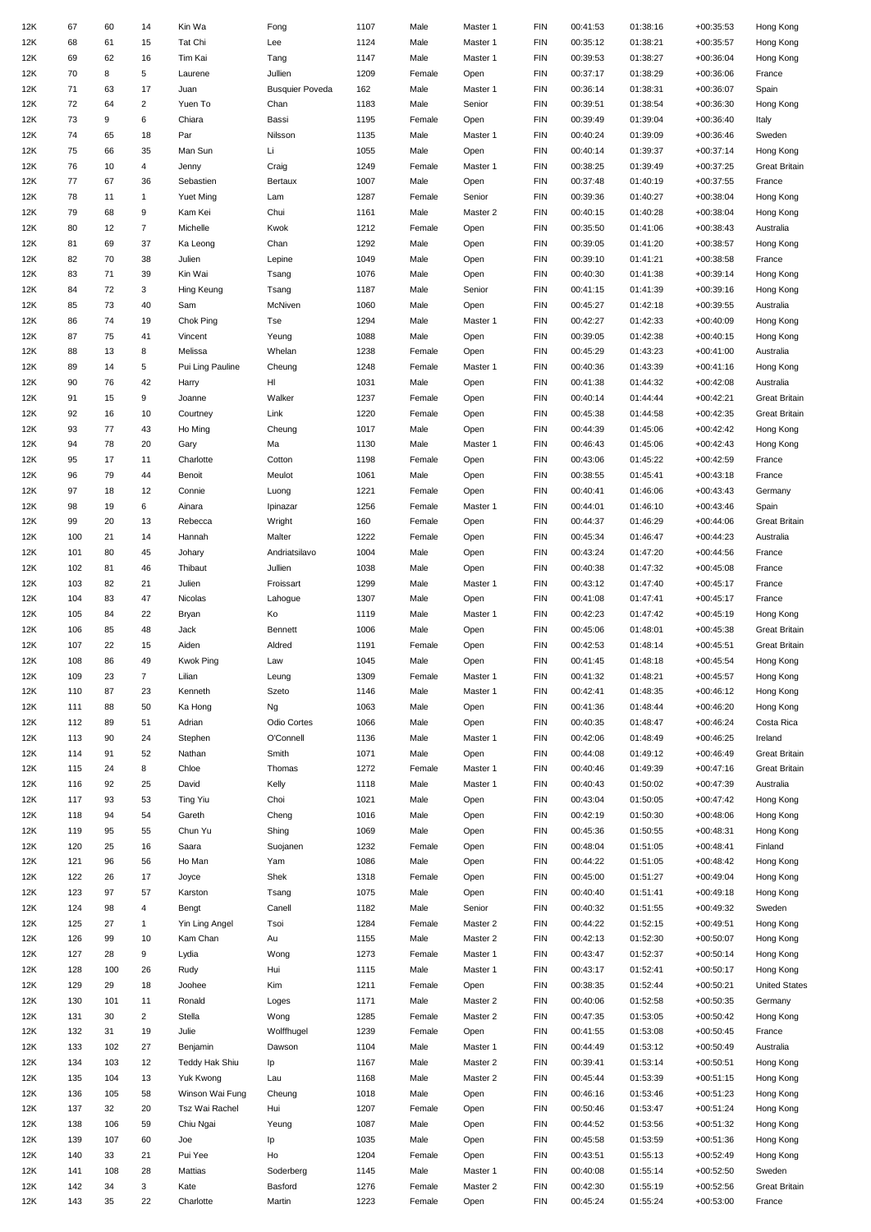| 12K        | 67         | 60       | 14             | Kin Wa                | Fong                   | 1107         | Male   | Master 1 | <b>FIN</b>               | 00:41:53             | 01:38:16             | $+00:35:53$                | Hong Kong            |
|------------|------------|----------|----------------|-----------------------|------------------------|--------------|--------|----------|--------------------------|----------------------|----------------------|----------------------------|----------------------|
| 12K        | 68         | 61       | 15             | Tat Chi               | Lee                    | 1124         | Male   | Master 1 | <b>FIN</b>               | 00:35:12             | 01:38:21             | $+00:35:57$                | Hong Kong            |
| 12K        | 69         | 62       | 16             | Tim Kai               | Tang                   | 1147         | Male   | Master 1 | <b>FIN</b>               | 00:39:53             | 01:38:27             | $+00:36:04$                | Hong Kong            |
|            |            |          |                |                       |                        |              |        |          |                          |                      |                      |                            |                      |
| 12K        | 70         | 8        | 5              | Laurene               | Jullien                | 1209         | Female | Open     | <b>FIN</b>               | 00:37:17             | 01:38:29             | $+00:36:06$                | France               |
| 12K        | 71         | 63       | 17             | Juan                  | <b>Busquier Poveda</b> | 162          | Male   | Master 1 | <b>FIN</b>               | 00:36:14             | 01:38:31             | $+00:36:07$                | Spain                |
| 12K        | 72         | 64       | $\overline{2}$ | Yuen To               | Chan                   | 1183         | Male   | Senior   | <b>FIN</b>               | 00:39:51             | 01:38:54             | $+00:36:30$                | Hong Kong            |
| 12K        | 73         | 9        | 6              | Chiara                | Bassi                  | 1195         | Female | Open     | <b>FIN</b>               | 00:39:49             | 01:39:04             | $+00:36:40$                | Italy                |
| 12K        | 74         | 65       | 18             | Par                   | Nilsson                | 1135         | Male   | Master 1 | <b>FIN</b>               | 00:40:24             | 01:39:09             | $+00:36:46$                | Sweden               |
| 12K        | 75         | 66       | 35             | Man Sun               | Li                     | 1055         | Male   | Open     | <b>FIN</b>               | 00:40:14             | 01:39:37             | $+00:37:14$                | Hong Kong            |
| 12K        | 76         | 10       | 4              | Jenny                 | Craig                  | 1249         | Female | Master 1 | <b>FIN</b>               | 00:38:25             | 01:39:49             | $+00:37:25$                | <b>Great Britain</b> |
| 12K        | 77         | 67       | 36             | Sebastien             | Bertaux                | 1007         | Male   | Open     | <b>FIN</b>               | 00:37:48             | 01:40:19             | $+00:37:55$                | France               |
| 12K        | 78         | 11       | $\mathbf{1}$   | Yuet Ming             | Lam                    | 1287         | Female | Senior   | <b>FIN</b>               | 00:39:36             | 01:40:27             | $+00:38:04$                | Hong Kong            |
|            |            |          |                |                       |                        |              |        |          |                          |                      |                      |                            |                      |
| 12K        | 79         | 68       | 9              | Kam Kei               | Chui                   | 1161         | Male   | Master 2 | <b>FIN</b>               | 00:40:15             | 01:40:28             | $+00:38:04$                | Hong Kong            |
| 12K        | 80         | 12       | $\overline{7}$ | Michelle              | Kwok                   | 1212         | Female | Open     | <b>FIN</b>               | 00:35:50             | 01:41:06             | $+00:38:43$                | Australia            |
| 12K        | 81         | 69       | 37             | Ka Leong              | Chan                   | 1292         | Male   | Open     | <b>FIN</b>               | 00:39:05             | 01:41:20             | $+00:38:57$                | Hong Kong            |
| 12K        | 82         | 70       | 38             | Julien                | Lepine                 | 1049         | Male   | Open     | <b>FIN</b>               | 00:39:10             | 01:41:21             | $+00:38:58$                | France               |
| 12K        | 83         | 71       | 39             | Kin Wai               | Tsang                  | 1076         | Male   | Open     | <b>FIN</b>               | 00:40:30             | 01:41:38             | $+00:39:14$                | Hong Kong            |
| 12K        | 84         | 72       | 3              | Hing Keung            | Tsang                  | 1187         | Male   | Senior   | <b>FIN</b>               | 00:41:15             | 01:41:39             | $+00:39:16$                | Hong Kong            |
| 12K        | 85         | 73       | 40             | Sam                   | McNiven                | 1060         | Male   | Open     | <b>FIN</b>               | 00:45:27             | 01:42:18             | $+00:39:55$                | Australia            |
| 12K        | 86         | 74       | 19             | Chok Ping             | Tse                    | 1294         | Male   | Master 1 | <b>FIN</b>               | 00:42:27             | 01:42:33             | $+00:40:09$                | Hong Kong            |
|            |            |          |                |                       |                        |              |        |          |                          |                      |                      |                            |                      |
| 12K        | 87         | 75       | 41             | Vincent               | Yeung                  | 1088         | Male   | Open     | <b>FIN</b>               | 00:39:05             | 01:42:38             | $+00:40:15$                | Hong Kong            |
| 12K        | 88         | 13       | 8              | Melissa               | Whelan                 | 1238         | Female | Open     | <b>FIN</b>               | 00:45:29             | 01:43:23             | $+00:41:00$                | Australia            |
| 12K        | 89         | 14       | 5              | Pui Ling Pauline      | Cheung                 | 1248         | Female | Master 1 | <b>FIN</b>               | 00:40:36             | 01:43:39             | $+00:41:16$                | Hong Kong            |
| 12K        | 90         | 76       | 42             | Harry                 | HI                     | 1031         | Male   | Open     | <b>FIN</b>               | 00:41:38             | 01:44:32             | $+00:42:08$                | Australia            |
| 12K        | 91         | 15       | 9              | Joanne                | Walker                 | 1237         | Female | Open     | <b>FIN</b>               | 00:40:14             | 01:44:44             | $+00:42:21$                | <b>Great Britain</b> |
| 12K        | 92         | 16       | 10             | Courtney              | Link                   | 1220         | Female | Open     | <b>FIN</b>               | 00:45:38             | 01:44:58             | $+00:42:35$                | <b>Great Britain</b> |
| 12K        | 93         | 77       | 43             | Ho Ming               | Cheung                 | 1017         | Male   | Open     | <b>FIN</b>               | 00:44:39             | 01:45:06             | $+00:42:42$                | Hong Kong            |
| 12K        | 94         | 78       | 20             |                       | Ma                     | 1130         | Male   | Master 1 | <b>FIN</b>               | 00:46:43             | 01:45:06             | $+00:42:43$                |                      |
|            |            |          |                | Gary                  |                        |              |        |          |                          |                      |                      |                            | Hong Kong            |
| 12K        | 95         | 17       | 11             | Charlotte             | Cotton                 | 1198         | Female | Open     | <b>FIN</b>               | 00:43:06             | 01:45:22             | $+00:42:59$                | France               |
| 12K        | 96         | 79       | 44             | Benoit                | Meulot                 | 1061         | Male   | Open     | <b>FIN</b>               | 00:38:55             | 01:45:41             | $+00:43:18$                | France               |
| 12K        | 97         | 18       | 12             | Connie                | Luong                  | 1221         | Female | Open     | <b>FIN</b>               | 00:40:41             | 01:46:06             | $+00:43:43$                | Germany              |
| 12K        | 98         | 19       | 6              | Ainara                | Ipinazar               | 1256         | Female | Master 1 | <b>FIN</b>               | 00:44:01             | 01:46:10             | $+00:43:46$                | Spain                |
| 12K        | 99         | 20       | 13             | Rebecca               | Wright                 | 160          | Female | Open     | <b>FIN</b>               | 00:44:37             | 01:46:29             | $+00:44:06$                | <b>Great Britain</b> |
| 12K        | 100        | 21       | 14             | Hannah                | Malter                 | 1222         | Female | Open     | <b>FIN</b>               | 00:45:34             | 01:46:47             | $+00:44:23$                | Australia            |
| 12K        | 101        | 80       | 45             | Johary                | Andriatsilavo          | 1004         | Male   | Open     | <b>FIN</b>               | 00:43:24             | 01:47:20             | $+00:44:56$                | France               |
|            |            |          |                |                       |                        |              |        |          |                          |                      |                      |                            |                      |
| 12K        | 102        | 81       | 46             | Thibaut               | Jullien                | 1038         | Male   | Open     | <b>FIN</b>               | 00:40:38             | 01:47:32             | $+00:45:08$                | France               |
| 12K        | 103        | 82       | 21             | Julien                | Froissart              | 1299         | Male   | Master 1 | <b>FIN</b>               | 00:43:12             | 01:47:40             | $+00:45:17$                | France               |
| 12K        | 104        | 83       | 47             | Nicolas               | Lahogue                | 1307         | Male   | Open     | <b>FIN</b>               | 00:41:08             | 01:47:41             | $+00:45:17$                | France               |
| 12K        | 105        | 84       | 22             | Bryan                 | Ko                     | 1119         | Male   | Master 1 | <b>FIN</b>               | 00:42:23             | 01:47:42             | $+00:45:19$                | Hong Kong            |
| 12K        | 106        | 85       | 48             | Jack                  | Bennett                | 1006         | Male   | Open     | <b>FIN</b>               | 00:45:06             | 01:48:01             | $+00:45:38$                | <b>Great Britain</b> |
| 12K        | 107        | 22       | 15             | Aiden                 | Aldred                 | 1191         | Female | Open     | <b>FIN</b>               | 00:42:53             | 01:48:14             | $+00:45:51$                | <b>Great Britain</b> |
| 12K        | 108        | 86       | 49             | <b>Kwok Ping</b>      | Law                    | 1045         | Male   | Open     | <b>FIN</b>               | 00:41:45             | 01:48:18             | $+00:45:54$                | Hong Kong            |
| 12K        | 109        | 23       | 7              | Lilian                |                        |              | Female |          | <b>FIN</b>               | 00:41:32             | 01:48:21             |                            | Hong Kong            |
|            |            |          |                |                       | Leung                  | 1309         |        | Master 1 |                          |                      |                      | $+00:45:57$                |                      |
| 12K        | 110        | 87       | 23             | Kenneth               | Szeto                  | 1146         | Male   | Master 1 | <b>FIN</b>               | 00:42:41             | 01:48:35             | $+00:46:12$                | Hong Kong            |
| 12K        | 111        | 88       | 50             | Ka Hong               | Ng                     | 1063         | Male   |          | <b>FIN</b>               | 00:41:36             | 01:48:44             | $+00:46:20$                | Hong Kong            |
| 12K        |            |          |                |                       |                        |              |        | Open     |                          |                      |                      |                            |                      |
| 12K        | 112        | 89       | 51             | Adrian                | Odio Cortes            | 1066         | Male   | Open     | <b>FIN</b>               | 00:40:35             | 01:48:47             | $+00:46:24$                | Costa Rica           |
| 12K        | 113        | 90       | 24             | Stephen               | O'Connell              | 1136         | Male   | Master 1 | <b>FIN</b>               | 00:42:06             | 01:48:49             | $+00:46:25$                | Ireland              |
|            | 114        | 91       | 52             | Nathan                | Smith                  | 1071         | Male   | Open     | <b>FIN</b>               | 00:44:08             | 01:49:12             | $+00:46:49$                | <b>Great Britain</b> |
| 12K        | 115        | 24       | 8              | Chloe                 | Thomas                 | 1272         | Female | Master 1 | <b>FIN</b>               | 00:40:46             | 01:49:39             | $+00:47:16$                | <b>Great Britain</b> |
|            |            |          |                |                       |                        |              |        |          |                          |                      |                      |                            |                      |
| 12K        | 116        | 92       | 25             | David                 | Kelly                  | 1118         | Male   | Master 1 | <b>FIN</b>               | 00:40:43             | 01:50:02             | $+00:47:39$                | Australia            |
| 12K        | 117        | 93       | 53             | <b>Ting Yiu</b>       | Choi                   | 1021         | Male   | Open     | <b>FIN</b>               | 00:43:04             | 01:50:05             | $+00:47:42$                | Hong Kong            |
| 12K        | 118        | 94       | 54             | Gareth                | Cheng                  | 1016         | Male   | Open     | <b>FIN</b>               | 00:42:19             | 01:50:30             | $+00:48:06$                | Hong Kong            |
| 12K        | 119        | 95       | 55             | Chun Yu               | Shing                  | 1069         | Male   | Open     | <b>FIN</b>               | 00:45:36             | 01:50:55             | $+00:48:31$                | Hong Kong            |
| 12K        | 120        | 25       | 16             | Saara                 | Suojanen               | 1232         | Female | Open     | <b>FIN</b>               | 00:48:04             | 01:51:05             | $+00:48:41$                | Finland              |
| 12K        | 121        | 96       | 56             | Ho Man                | Yam                    | 1086         | Male   | Open     | <b>FIN</b>               | 00:44:22             | 01:51:05             | $+00:48:42$                | Hong Kong            |
| 12K        | 122        | 26       | 17             | Joyce                 | Shek                   | 1318         | Female | Open     | <b>FIN</b>               | 00:45:00             | 01:51:27             | $+00:49:04$                | Hong Kong            |
| 12K        | 123        | 97       | 57             | Karston               | Tsang                  | 1075         | Male   | Open     | <b>FIN</b>               | 00:40:40             | 01:51:41             | $+00:49:18$                | Hong Kong            |
| 12K        | 124        | 98       | 4              | Bengt                 | Canell                 | 1182         | Male   | Senior   | <b>FIN</b>               | 00:40:32             | 01:51:55             | $+00:49:32$                | Sweden               |
|            |            |          |                |                       |                        |              |        |          |                          |                      |                      |                            |                      |
| 12K        | 125        | 27       | $\mathbf{1}$   | Yin Ling Angel        | Tsoi                   | 1284         | Female | Master 2 | <b>FIN</b>               | 00:44:22             | 01:52:15             | $+00:49:51$                | Hong Kong            |
| 12K        | 126        | 99       | 10             | Kam Chan              | Au                     | 1155         | Male   | Master 2 | <b>FIN</b>               | 00:42:13             | 01:52:30             | $+00:50:07$                | Hong Kong            |
| 12K        | 127        | 28       | 9              | Lydia                 | Wong                   | 1273         | Female | Master 1 | <b>FIN</b>               | 00:43:47             | 01:52:37             | $+00:50:14$                | Hong Kong            |
| 12K        | 128        | 100      | 26             | Rudy                  | Hui                    | 1115         | Male   | Master 1 | <b>FIN</b>               | 00:43:17             | 01:52:41             | $+00:50:17$                | Hong Kong            |
| 12K        | 129        | 29       | 18             | Joohee                | Kim                    | 1211         | Female | Open     | <b>FIN</b>               | 00:38:35             | 01:52:44             | $+00:50:21$                | <b>United States</b> |
| 12K        | 130        | 101      | 11             | Ronald                | Loges                  | 1171         | Male   | Master 2 | <b>FIN</b>               | 00:40:06             | 01:52:58             | $+00:50:35$                | Germany              |
| 12K        | 131        | 30       | $\overline{2}$ | Stella                | Wong                   | 1285         | Female | Master 2 | <b>FIN</b>               | 00:47:35             | 01:53:05             | $+00:50:42$                | Hong Kong            |
| 12K        | 132        | 31       | 19             | Julie                 | Wolffhugel             | 1239         | Female | Open     | <b>FIN</b>               | 00:41:55             | 01:53:08             | $+00:50:45$                | France               |
| 12K        | 133        | 102      | 27             | Benjamin              | Dawson                 | 1104         | Male   | Master 1 | <b>FIN</b>               | 00:44:49             | 01:53:12             | $+00:50:49$                | Australia            |
|            |            |          |                |                       |                        |              |        |          |                          |                      |                      |                            |                      |
| 12K        | 134        | 103      | 12             | <b>Teddy Hak Shiu</b> | Ip                     | 1167         | Male   | Master 2 | <b>FIN</b>               | 00:39:41             | 01:53:14             | $+00:50:51$                | Hong Kong            |
| 12K        | 135        | 104      | 13             | Yuk Kwong             | Lau                    | 1168         | Male   | Master 2 | <b>FIN</b>               | 00:45:44             | 01:53:39             | $+00:51:15$                | Hong Kong            |
| 12K        | 136        | 105      | 58             | Winson Wai Fung       | Cheung                 | 1018         | Male   | Open     | <b>FIN</b>               | 00:46:16             | 01:53:46             | $+00:51:23$                | Hong Kong            |
| 12K        | 137        | 32       | 20             | Tsz Wai Rachel        | Hui                    | 1207         | Female | Open     | <b>FIN</b>               | 00:50:46             | 01:53:47             | $+00:51:24$                | Hong Kong            |
| 12K        | 138        | 106      | 59             | Chiu Ngai             | Yeung                  | 1087         | Male   | Open     | <b>FIN</b>               | 00:44:52             | 01:53:56             | $+00:51:32$                | Hong Kong            |
| 12K        | 139        | 107      | 60             | Joe                   | Ip                     | 1035         | Male   | Open     | <b>FIN</b>               | 00:45:58             | 01:53:59             | $+00:51:36$                | Hong Kong            |
| 12K        | 140        | 33       | 21             | Pui Yee               | Ho                     | 1204         | Female | Open     | <b>FIN</b>               | 00:43:51             | 01:55:13             | $+00:52:49$                | Hong Kong            |
| 12K        | 141        | 108      | 28             | Mattias               | Soderberg              | 1145         | Male   | Master 1 | <b>FIN</b>               | 00:40:08             | 01:55:14             | $+00:52:50$                | Sweden               |
|            |            |          | 3              | Kate                  |                        |              | Female | Master 2 |                          |                      |                      |                            | <b>Great Britain</b> |
| 12K<br>12K | 142<br>143 | 34<br>35 | 22             | Charlotte             | Basford<br>Martin      | 1276<br>1223 | Female | Open     | <b>FIN</b><br><b>FIN</b> | 00:42:30<br>00:45:24 | 01:55:19<br>01:55:24 | $+00:52:56$<br>$+00:53:00$ | France               |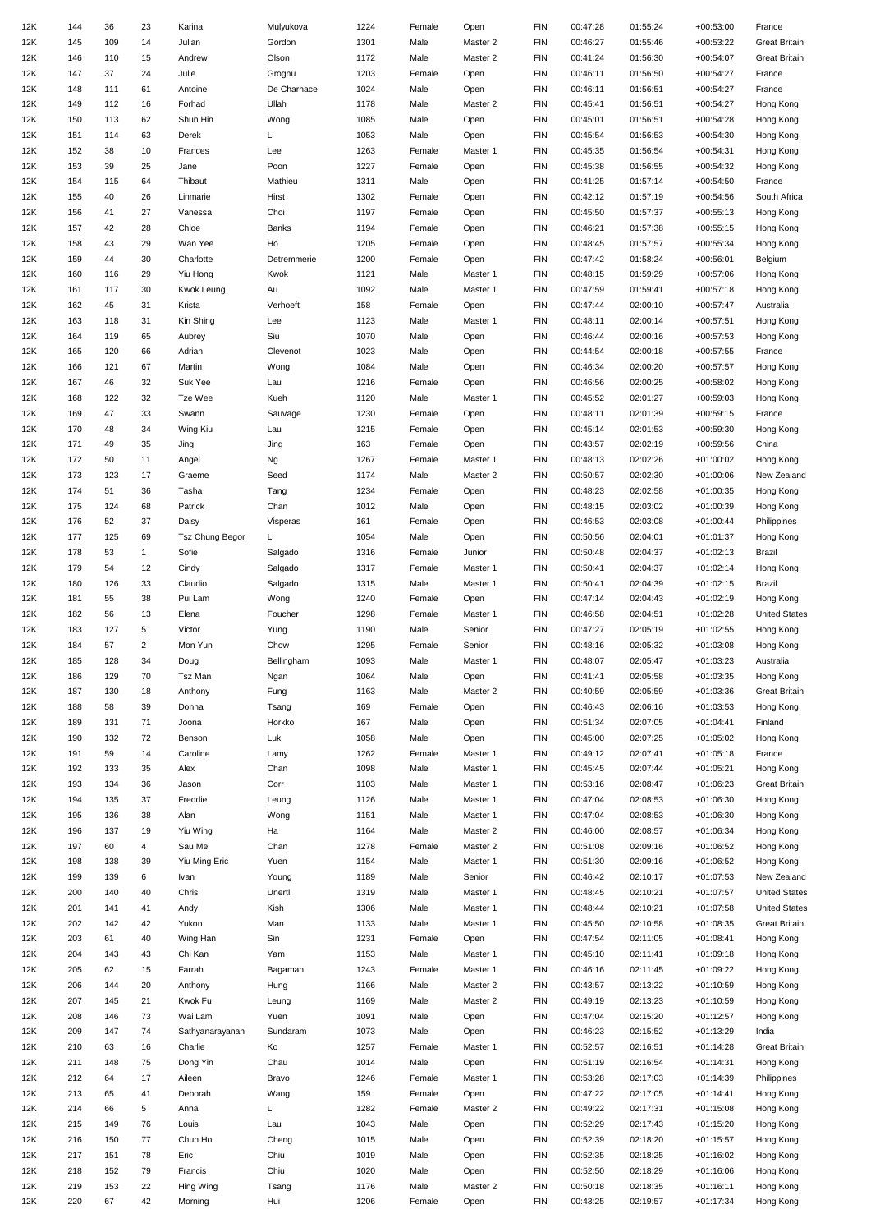| 12K | 144 | 36  | 23             | Karina                 | Mulyukova   | 1224 | Female | Open             | <b>FIN</b> | 00:47:28             | 01:55:24             | $+00:53:00$ | France               |
|-----|-----|-----|----------------|------------------------|-------------|------|--------|------------------|------------|----------------------|----------------------|-------------|----------------------|
| 12K | 145 | 109 | 14             | Julian                 | Gordon      | 1301 | Male   | Master 2         | <b>FIN</b> | 00:46:27             | 01:55:46             | $+00:53:22$ | <b>Great Britain</b> |
| 12K | 146 | 110 | 15             | Andrew                 | Olson       | 1172 | Male   | Master 2         | <b>FIN</b> | 00:41:24             | 01:56:30             | $+00:54:07$ | <b>Great Britain</b> |
| 12K | 147 | 37  | 24             | Julie                  | Grognu      | 1203 | Female | Open             | <b>FIN</b> | 00:46:11             | 01:56:50             | $+00:54:27$ | France               |
| 12K | 148 | 111 | 61             | Antoine                | De Charnace | 1024 | Male   | Open             | <b>FIN</b> | 00:46:11             | 01:56:51             | $+00:54:27$ | France               |
| 12K | 149 | 112 | 16             | Forhad                 | Ullah       | 1178 | Male   | Master 2         | <b>FIN</b> | 00:45:41             | 01:56:51             | $+00:54:27$ | Hong Kong            |
| 12K | 150 | 113 | 62             | Shun Hin               | Wong        | 1085 | Male   | Open             | <b>FIN</b> | 00:45:01             | 01:56:51             | $+00:54:28$ | Hong Kong            |
| 12K | 151 | 114 | 63             | Derek                  | Li          | 1053 | Male   | Open             | <b>FIN</b> | 00:45:54             | 01:56:53             | $+00:54:30$ | Hong Kong            |
| 12K | 152 | 38  | 10             | Frances                | Lee         | 1263 | Female | Master 1         | <b>FIN</b> | 00:45:35             | 01:56:54             | $+00:54:31$ | Hong Kong            |
|     |     | 39  | 25             |                        |             |      |        |                  | <b>FIN</b> |                      |                      |             |                      |
| 12K | 153 |     |                | Jane                   | Poon        | 1227 | Female | Open             |            | 00:45:38             | 01:56:55             | $+00:54:32$ | Hong Kong            |
| 12K | 154 | 115 | 64             | Thibaut                | Mathieu     | 1311 | Male   | Open             | <b>FIN</b> | 00:41:25             | 01:57:14             | $+00:54:50$ | France               |
| 12K | 155 | 40  | 26             | Linmarie               | Hirst       | 1302 | Female | Open             | <b>FIN</b> | 00:42:12             | 01:57:19             | $+00:54:56$ | South Africa         |
| 12K | 156 | 41  | 27             | Vanessa                | Choi        | 1197 | Female | Open             | <b>FIN</b> | 00:45:50             | 01:57:37             | $+00:55:13$ | Hong Kong            |
| 12K | 157 | 42  | 28             | Chloe                  | Banks       | 1194 | Female | Open             | <b>FIN</b> | 00:46:21             | 01:57:38             | $+00:55:15$ | Hong Kong            |
| 12K | 158 | 43  | 29             | Wan Yee                | Ho          | 1205 | Female | Open             | <b>FIN</b> | 00:48:45             | 01:57:57             | $+00:55:34$ | Hong Kong            |
| 12K | 159 | 44  | 30             | Charlotte              | Detremmerie | 1200 | Female | Open             | <b>FIN</b> | 00:47:42             | 01:58:24             | $+00:56:01$ | Belgium              |
| 12K | 160 | 116 | 29             | Yiu Hong               | Kwok        | 1121 | Male   | Master 1         | <b>FIN</b> | 00:48:15             | 01:59:29             | $+00:57:06$ | Hong Kong            |
| 12K | 161 | 117 | 30             | Kwok Leung             | Au          | 1092 | Male   | Master 1         | <b>FIN</b> | 00:47:59             | 01:59:41             | $+00:57:18$ | Hong Kong            |
| 12K | 162 | 45  | 31             | Krista                 | Verhoeft    | 158  | Female | Open             | <b>FIN</b> | 00:47:44             | 02:00:10             | $+00:57:47$ | Australia            |
| 12K | 163 | 118 | 31             | Kin Shing              | Lee         | 1123 | Male   | Master 1         | <b>FIN</b> | 00:48:11             | 02:00:14             | $+00:57:51$ | Hong Kong            |
| 12K | 164 | 119 | 65             | Aubrey                 | Siu         | 1070 | Male   | Open             | <b>FIN</b> | 00:46:44             | 02:00:16             | $+00:57:53$ | Hong Kong            |
| 12K | 165 | 120 | 66             | Adrian                 | Clevenot    | 1023 | Male   | Open             | <b>FIN</b> | 00:44:54             | 02:00:18             | $+00:57:55$ | France               |
| 12K | 166 | 121 | 67             | Martin                 | Wong        | 1084 | Male   | Open             | <b>FIN</b> | 00:46:34             | 02:00:20             | $+00:57:57$ | Hong Kong            |
| 12K | 167 | 46  | 32             | Suk Yee                | Lau         | 1216 | Female | Open             | <b>FIN</b> | 00:46:56             | 02:00:25             | $+00:58:02$ | Hong Kong            |
| 12K | 168 | 122 | 32             | Tze Wee                | Kueh        | 1120 | Male   | Master 1         | <b>FIN</b> | 00:45:52             | 02:01:27             | $+00:59:03$ | Hong Kong            |
| 12K | 169 | 47  | 33             | Swann                  | Sauvage     | 1230 | Female | Open             | <b>FIN</b> | 00:48:11             | 02:01:39             | $+00:59:15$ | France               |
| 12K | 170 | 48  | 34             | Wing Kiu               | Lau         | 1215 | Female | Open             | <b>FIN</b> | 00:45:14             | 02:01:53             | $+00:59:30$ | Hong Kong            |
| 12K | 171 | 49  | 35             | Jing                   | Jing        | 163  | Female | Open             | <b>FIN</b> | 00:43:57             | 02:02:19             | $+00:59:56$ | China                |
| 12K | 172 | 50  | 11             | Angel                  | Ng          | 1267 | Female | Master 1         | <b>FIN</b> | 00:48:13             | 02:02:26             | $+01:00:02$ | Hong Kong            |
| 12K | 173 | 123 | 17             | Graeme                 | Seed        | 1174 | Male   | Master 2         | <b>FIN</b> | 00:50:57             | 02:02:30             | $+01:00:06$ | New Zealand          |
| 12K | 174 | 51  | 36             | Tasha                  | Tang        | 1234 | Female | Open             | <b>FIN</b> | 00:48:23             | 02:02:58             | $+01:00:35$ | Hong Kong            |
| 12K | 175 | 124 | 68             | Patrick                | Chan        | 1012 | Male   | Open             | <b>FIN</b> | 00:48:15             | 02:03:02             | $+01:00:39$ | Hong Kong            |
| 12K | 176 | 52  | 37             | Daisy                  | Visperas    | 161  | Female | Open             | <b>FIN</b> | 00:46:53             | 02:03:08             | $+01:00:44$ | Philippines          |
| 12K | 177 | 125 | 69             | <b>Tsz Chung Begor</b> | Li          | 1054 | Male   | Open             | <b>FIN</b> | 00:50:56             | 02:04:01             | $+01:01:37$ | Hong Kong            |
| 12K | 178 | 53  | $\mathbf{1}$   | Sofie                  | Salgado     | 1316 | Female | Junior           | <b>FIN</b> | 00:50:48             | 02:04:37             | $+01:02:13$ | Brazil               |
| 12K | 179 | 54  | 12             | Cindy                  | Salgado     | 1317 | Female | Master 1         | <b>FIN</b> | 00:50:41             | 02:04:37             | $+01:02:14$ | Hong Kong            |
| 12K | 180 | 126 | 33             | Claudio                | Salgado     | 1315 | Male   | Master 1         | <b>FIN</b> | 00:50:41             | 02:04:39             | $+01:02:15$ | Brazil               |
| 12K | 181 |     | 38             | Pui Lam                |             | 1240 | Female |                  | <b>FIN</b> |                      |                      | $+01:02:19$ | Hong Kong            |
|     |     | 55  |                |                        | Wong        |      |        | Open<br>Master 1 |            | 00:47:14<br>00:46:58 | 02:04:43<br>02:04:51 |             | <b>United States</b> |
| 12K | 182 | 56  | 13             | Elena                  | Foucher     | 1298 | Female |                  | <b>FIN</b> |                      |                      | $+01:02:28$ |                      |
| 12K | 183 | 127 | 5              | Victor                 | Yung        | 1190 | Male   | Senior           | <b>FIN</b> | 00:47:27             | 02:05:19             | $+01:02:55$ | Hong Kong            |
| 12K | 184 | 57  | $\overline{2}$ | Mon Yun                | Chow        | 1295 | Female | Senior           | <b>FIN</b> | 00:48:16             | 02:05:32             | $+01:03:08$ | Hong Kong            |
| 12K | 185 | 128 | 34             | Doug                   | Bellingham  | 1093 | Male   | Master 1         | <b>FIN</b> | 00:48:07             | 02:05:47             | $+01:03:23$ | Australia            |
| 12K | 186 | 129 | 70             | Tsz Man                | Ngan        | 1064 | Male   | Open             | <b>FIN</b> | 00:41:41             | 02:05:58             | $+01:03:35$ | Hong Kong            |
| 12K | 187 | 130 | 18             | Anthony                | Fung        | 1163 | Male   | Master 2         | <b>FIN</b> | 00:40:59             | 02:05:59             | $+01:03:36$ | <b>Great Britain</b> |
| 12K | 188 | 58  | 39             | Donna                  | Tsang       | 169  | Female | Open             | <b>FIN</b> | 00:46:43             | 02:06:16             | $+01:03:53$ | Hong Kong            |
| 12K | 189 | 131 | 71             | Joona                  | Horkko      | 167  | Male   | Open             | <b>FIN</b> | 00:51:34             | 02:07:05             | $+01:04:41$ | Finland              |
| 12K | 190 | 132 | 72             | Benson                 | Luk         | 1058 | Male   | Open             | <b>FIN</b> | 00:45:00             | 02:07:25             | $+01:05:02$ | Hong Kong            |
| 12K | 191 | 59  | 14             | Caroline               | Lamy        | 1262 | Female | Master 1         | <b>FIN</b> | 00:49:12             | 02:07:41             | $+01:05:18$ | France               |
| 12K | 192 | 133 | 35             | Alex                   | Chan        | 1098 | Male   | Master 1         | <b>FIN</b> | 00:45:45             | 02:07:44             | $+01:05:21$ | Hong Kong            |
| 12K | 193 | 134 | 36             | Jason                  | Corr        | 1103 | Male   | Master 1         | <b>FIN</b> | 00:53:16             | 02:08:47             | $+01:06:23$ | <b>Great Britain</b> |
| 12K | 194 | 135 | 37             | Freddie                | Leung       | 1126 | Male   | Master 1         | <b>FIN</b> | 00:47:04             | 02:08:53             | $+01:06:30$ | Hong Kong            |
| 12K | 195 | 136 | 38             | Alan                   | Wong        | 1151 | Male   | Master 1         | <b>FIN</b> | 00:47:04             | 02:08:53             | $+01:06:30$ | Hong Kong            |
| 12K | 196 | 137 | 19             | Yiu Wing               | Ha          | 1164 | Male   | Master 2         | <b>FIN</b> | 00:46:00             | 02:08:57             | $+01:06:34$ | Hong Kong            |
| 12K | 197 | 60  | 4              | Sau Mei                | Chan        | 1278 | Female | Master 2         | <b>FIN</b> | 00:51:08             | 02:09:16             | $+01:06:52$ | Hong Kong            |
| 12K | 198 | 138 | 39             | Yiu Ming Eric          | Yuen        | 1154 | Male   | Master 1         | <b>FIN</b> | 00:51:30             | 02:09:16             | $+01:06:52$ | Hong Kong            |
| 12K | 199 | 139 | 6              | Ivan                   | Young       | 1189 | Male   | Senior           | <b>FIN</b> | 00:46:42             | 02:10:17             | $+01:07:53$ | New Zealand          |
| 12K | 200 | 140 | 40             | Chris                  | Unertl      | 1319 | Male   | Master 1         | <b>FIN</b> | 00:48:45             | 02:10:21             | $+01:07:57$ | <b>United States</b> |
| 12K | 201 | 141 | 41             | Andy                   | Kish        | 1306 | Male   | Master 1         | <b>FIN</b> | 00:48:44             | 02:10:21             | $+01:07:58$ | <b>United States</b> |
| 12K | 202 | 142 | 42             | Yukon                  | Man         | 1133 | Male   | Master 1         | <b>FIN</b> | 00:45:50             | 02:10:58             | $+01:08:35$ | <b>Great Britain</b> |
| 12K | 203 | 61  | 40             | Wing Han               | Sin         | 1231 | Female | Open             | <b>FIN</b> | 00:47:54             | 02:11:05             | $+01:08:41$ | Hong Kong            |
| 12K | 204 | 143 | 43             | Chi Kan                | Yam         | 1153 | Male   | Master 1         | <b>FIN</b> | 00:45:10             | 02:11:41             | $+01:09:18$ | Hong Kong            |
| 12K | 205 | 62  | 15             | Farrah                 | Bagaman     | 1243 | Female | Master 1         | <b>FIN</b> | 00:46:16             | 02:11:45             | +01:09:22   | Hong Kong            |
| 12K | 206 | 144 | 20             | Anthony                | Hung        | 1166 | Male   | Master 2         | <b>FIN</b> | 00:43:57             | 02:13:22             | +01:10:59   | Hong Kong            |
| 12K | 207 | 145 | 21             | Kwok Fu                | Leung       | 1169 | Male   | Master 2         | <b>FIN</b> | 00:49:19             | 02:13:23             | $+01:10:59$ | Hong Kong            |
| 12K | 208 | 146 | 73             | Wai Lam                | Yuen        | 1091 | Male   | Open             | <b>FIN</b> | 00:47:04             | 02:15:20             | $+01:12:57$ | Hong Kong            |
| 12K | 209 | 147 | 74             | Sathyanarayanan        | Sundaram    | 1073 | Male   | Open             | <b>FIN</b> | 00:46:23             | 02:15:52             | $+01:13:29$ | India                |
| 12K | 210 | 63  | 16             | Charlie                | Ko          | 1257 | Female | Master 1         | <b>FIN</b> | 00:52:57             | 02:16:51             | $+01:14:28$ | <b>Great Britain</b> |
| 12K | 211 | 148 | 75             | Dong Yin               | Chau        | 1014 | Male   | Open             | <b>FIN</b> | 00:51:19             | 02:16:54             | $+01:14:31$ | Hong Kong            |
| 12K | 212 | 64  | 17             | Aileen                 | Bravo       | 1246 | Female | Master 1         | <b>FIN</b> | 00:53:28             | 02:17:03             | $+01:14:39$ | Philippines          |
| 12K | 213 | 65  | 41             | Deborah                | Wang        | 159  | Female | Open             | <b>FIN</b> | 00:47:22             | 02:17:05             | $+01:14:41$ | Hong Kong            |
| 12K | 214 | 66  | 5              | Anna                   | Li          | 1282 | Female | Master 2         | <b>FIN</b> | 00:49:22             | 02:17:31             | $+01:15:08$ | Hong Kong            |
| 12K | 215 | 149 | 76             | Louis                  | Lau         | 1043 | Male   | Open             | <b>FIN</b> | 00:52:29             | 02:17:43             | $+01:15:20$ | Hong Kong            |
| 12K | 216 | 150 | 77             | Chun Ho                | Cheng       | 1015 | Male   | Open             | <b>FIN</b> | 00:52:39             | 02:18:20             | $+01:15:57$ | Hong Kong            |
| 12K | 217 | 151 | 78             | Eric                   | Chiu        | 1019 | Male   | Open             | <b>FIN</b> | 00:52:35             | 02:18:25             | $+01:16:02$ | Hong Kong            |
| 12K | 218 | 152 | 79             | Francis                | Chiu        | 1020 | Male   | Open             | <b>FIN</b> | 00:52:50             | 02:18:29             | $+01:16:06$ | Hong Kong            |
| 12K | 219 | 153 | 22             | Hing Wing              | Tsang       | 1176 | Male   | Master 2         | <b>FIN</b> | 00:50:18             | 02:18:35             | $+01:16:11$ | Hong Kong            |
| 12K | 220 | 67  | 42             | Morning                | Hui         |      |        |                  | <b>FIN</b> | 00:43:25             |                      | $+01:17:34$ |                      |
|     |     |     |                |                        |             | 1206 | Female | Open             |            |                      | 02:19:57             |             | Hong Kong            |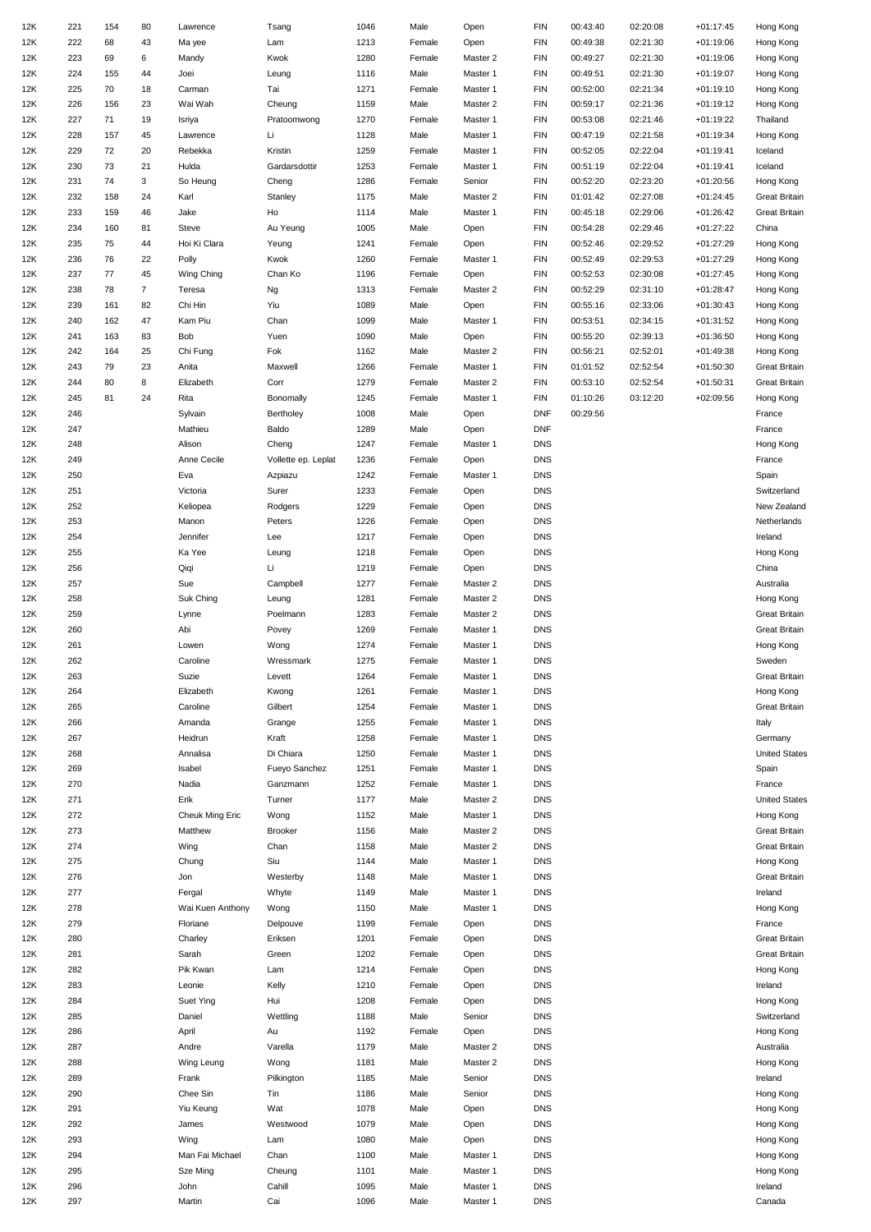| 12K | 221 | 154 | 80             | Lawrence         | Tsang               | 1046 | Male   | Open     | <b>FIN</b> | 00:43:40 | 02:20:08 | $+01:17:45$ | Hong Kong            |
|-----|-----|-----|----------------|------------------|---------------------|------|--------|----------|------------|----------|----------|-------------|----------------------|
| 12K | 222 | 68  | 43             | Ma yee           | Lam                 | 1213 | Female | Open     | <b>FIN</b> | 00:49:38 | 02:21:30 | $+01:19:06$ | Hong Kong            |
| 12K | 223 | 69  | 6              | Mandy            | Kwok                | 1280 | Female | Master 2 | <b>FIN</b> | 00:49:27 | 02:21:30 | $+01:19:06$ | Hong Kong            |
| 12K | 224 | 155 | 44             | Joei             | Leung               | 1116 | Male   | Master 1 | <b>FIN</b> | 00:49:51 | 02:21:30 | $+01:19:07$ | Hong Kong            |
| 12K | 225 | 70  | 18             | Carman           | Tai                 | 1271 | Female | Master 1 | <b>FIN</b> | 00:52:00 | 02:21:34 | $+01:19:10$ | Hong Kong            |
| 12K | 226 |     | 23             | Wai Wah          | Cheung              | 1159 | Male   | Master 2 | <b>FIN</b> | 00:59:17 | 02:21:36 | $+01:19:12$ |                      |
|     |     | 156 |                |                  |                     |      |        |          |            |          |          |             | Hong Kong            |
| 12K | 227 | 71  | 19             | Isriya           | Pratoomwong         | 1270 | Female | Master 1 | <b>FIN</b> | 00:53:08 | 02:21:46 | $+01:19:22$ | Thailand             |
| 12K | 228 | 157 | 45             | Lawrence         | Li                  | 1128 | Male   | Master 1 | <b>FIN</b> | 00:47:19 | 02:21:58 | $+01:19:34$ | Hong Kong            |
| 12K | 229 | 72  | 20             | Rebekka          | Kristin             | 1259 | Female | Master 1 | <b>FIN</b> | 00:52:05 | 02:22:04 | $+01:19:41$ | Iceland              |
| 12K | 230 | 73  | 21             | Hulda            | Gardarsdottir       | 1253 | Female | Master 1 | <b>FIN</b> | 00:51:19 | 02:22:04 | $+01:19:41$ | Iceland              |
| 12K | 231 | 74  | 3              | So Heung         | Cheng               | 1286 | Female | Senior   | <b>FIN</b> | 00:52:20 | 02:23:20 | $+01:20:56$ | Hong Kong            |
| 12K | 232 | 158 | 24             | Karl             | Stanley             | 1175 | Male   | Master 2 | <b>FIN</b> | 01:01:42 | 02:27:08 | $+01:24:45$ | <b>Great Britain</b> |
| 12K | 233 | 159 | 46             | Jake             | Ho                  | 1114 | Male   | Master 1 | <b>FIN</b> | 00:45:18 | 02:29:06 | $+01:26:42$ | <b>Great Britain</b> |
| 12K | 234 | 160 | 81             | Steve            | Au Yeung            | 1005 | Male   | Open     | <b>FIN</b> | 00:54:28 | 02:29:46 | $+01:27:22$ | China                |
| 12K | 235 | 75  | 44             | Hoi Ki Clara     | Yeung               | 1241 | Female | Open     | <b>FIN</b> | 00:52:46 | 02:29:52 | $+01:27:29$ | Hong Kong            |
|     | 236 |     | 22             |                  |                     |      |        |          | <b>FIN</b> |          |          |             |                      |
| 12K |     | 76  |                | Polly            | Kwok                | 1260 | Female | Master 1 |            | 00:52:49 | 02:29:53 | $+01:27:29$ | Hong Kong            |
| 12K | 237 | 77  | 45             | Wing Ching       | Chan Ko             | 1196 | Female | Open     | <b>FIN</b> | 00:52:53 | 02:30:08 | $+01:27:45$ | Hong Kong            |
| 12K | 238 | 78  | $\overline{7}$ | Teresa           | Ng                  | 1313 | Female | Master 2 | <b>FIN</b> | 00:52:29 | 02:31:10 | $+01:28:47$ | Hong Kong            |
| 12K | 239 | 161 | 82             | Chi Hin          | Yiu                 | 1089 | Male   | Open     | <b>FIN</b> | 00:55:16 | 02:33:06 | $+01:30:43$ | Hong Kong            |
| 12K | 240 | 162 | 47             | Kam Piu          | Chan                | 1099 | Male   | Master 1 | <b>FIN</b> | 00:53:51 | 02:34:15 | $+01:31:52$ | Hong Kong            |
| 12K | 241 | 163 | 83             | Bob              | Yuen                | 1090 | Male   | Open     | <b>FIN</b> | 00:55:20 | 02:39:13 | $+01:36:50$ | Hong Kong            |
| 12K | 242 | 164 | 25             | Chi Fung         | Fok                 | 1162 | Male   | Master 2 | <b>FIN</b> | 00:56:21 | 02:52:01 | $+01:49:38$ | Hong Kong            |
| 12K | 243 | 79  | 23             | Anita            | Maxwell             | 1266 | Female | Master 1 | <b>FIN</b> | 01:01:52 | 02:52:54 | $+01:50:30$ | <b>Great Britain</b> |
| 12K | 244 | 80  | 8              | Elizabeth        | Corr                | 1279 | Female | Master 2 | <b>FIN</b> | 00:53:10 | 02:52:54 | $+01:50:31$ | <b>Great Britain</b> |
| 12K | 245 | 81  | 24             | Rita             | Bonomally           | 1245 | Female | Master 1 | <b>FIN</b> | 01:10:26 | 03:12:20 | $+02:09:56$ | Hong Kong            |
|     |     |     |                |                  |                     |      |        |          |            |          |          |             |                      |
| 12K | 246 |     |                | Sylvain          | Bertholey           | 1008 | Male   | Open     | <b>DNF</b> | 00:29:56 |          |             | France               |
| 12K | 247 |     |                | Mathieu          | Baldo               | 1289 | Male   | Open     | <b>DNF</b> |          |          |             | France               |
| 12K | 248 |     |                | Alison           | Cheng               | 1247 | Female | Master 1 | <b>DNS</b> |          |          |             | Hong Kong            |
| 12K | 249 |     |                | Anne Cecile      | Vollette ep. Leplat | 1236 | Female | Open     | <b>DNS</b> |          |          |             | France               |
| 12K | 250 |     |                | Eva              | Azpiazu             | 1242 | Female | Master 1 | <b>DNS</b> |          |          |             | Spain                |
| 12K | 251 |     |                | Victoria         | Surer               | 1233 | Female | Open     | <b>DNS</b> |          |          |             | Switzerland          |
| 12K | 252 |     |                | Keliopea         | Rodgers             | 1229 | Female | Open     | <b>DNS</b> |          |          |             | New Zealand          |
| 12K | 253 |     |                | Manon            | Peters              | 1226 | Female | Open     | <b>DNS</b> |          |          |             | Netherlands          |
| 12K | 254 |     |                | Jennifer         | Lee                 | 1217 | Female | Open     | <b>DNS</b> |          |          |             | Ireland              |
| 12K | 255 |     |                | Ka Yee           | Leung               | 1218 | Female | Open     | <b>DNS</b> |          |          |             | Hong Kong            |
|     |     |     |                |                  |                     |      |        |          |            |          |          |             |                      |
| 12K | 256 |     |                | Qiqi             | Li                  | 1219 | Female | Open     | <b>DNS</b> |          |          |             | China                |
| 12K | 257 |     |                | Sue              | Campbell            | 1277 | Female | Master 2 | <b>DNS</b> |          |          |             | Australia            |
| 12K | 258 |     |                | Suk Ching        | Leung               | 1281 | Female | Master 2 | <b>DNS</b> |          |          |             | Hong Kong            |
| 12K | 259 |     |                | Lynne            | Poelmann            | 1283 | Female | Master 2 | <b>DNS</b> |          |          |             | <b>Great Britain</b> |
| 12K | 260 |     |                | Abi              | Povey               | 1269 | Female | Master 1 | <b>DNS</b> |          |          |             | <b>Great Britain</b> |
| 12K | 261 |     |                | Lowen            | Wong                | 1274 | Female | Master 1 | <b>DNS</b> |          |          |             | Hong Kong            |
| 12K | 262 |     |                | Caroline         | Wressmark           | 1275 | Female | Master 1 | <b>DNS</b> |          |          |             | Sweden               |
| 12K | 263 |     |                | Suzie            | Levett              | 1264 | Female | Master 1 | <b>DNS</b> |          |          |             | <b>Great Britain</b> |
| 12K | 264 |     |                | Elizabeth        | Kwong               | 1261 | Female | Master 1 | <b>DNS</b> |          |          |             | Hong Kong            |
|     |     |     |                |                  |                     |      |        |          |            |          |          |             |                      |
| 12K | 265 |     |                | Caroline         | Gilbert             | 1254 | Female | Master 1 | <b>DNS</b> |          |          |             | <b>Great Britain</b> |
| 12K | 266 |     |                | Amanda           | Grange              | 1255 | Female | Master 1 | <b>DNS</b> |          |          |             | Italy                |
| 12K | 267 |     |                | Heidrun          | Kraft               | 1258 | Female | Master 1 | <b>DNS</b> |          |          |             | Germany              |
| 12K | 268 |     |                | Annalisa         | Di Chiara           | 1250 | Female | Master 1 | <b>DNS</b> |          |          |             | <b>United States</b> |
| 12K | 269 |     |                | Isabel           | Fueyo Sanchez       | 1251 | Female | Master 1 | <b>DNS</b> |          |          |             | Spain                |
| 12K | 270 |     |                | Nadia            | Ganzmann            | 1252 | Female | Master 1 | <b>DNS</b> |          |          |             | France               |
| 12K | 271 |     |                | Erik             | Turner              | 1177 | Male   | Master 2 | <b>DNS</b> |          |          |             | <b>United States</b> |
| 12K | 272 |     |                | Cheuk Ming Eric  | Wong                | 1152 | Male   | Master 1 | <b>DNS</b> |          |          |             | Hong Kong            |
| 12K | 273 |     |                | Matthew          | <b>Brooker</b>      | 1156 | Male   | Master 2 | <b>DNS</b> |          |          |             | <b>Great Britain</b> |
| 12K | 274 |     |                | Wing             | Chan                | 1158 | Male   | Master 2 | <b>DNS</b> |          |          |             | <b>Great Britain</b> |
|     |     |     |                |                  |                     |      |        |          |            |          |          |             |                      |
| 12K | 275 |     |                | Chung            | Siu                 | 1144 | Male   | Master 1 | <b>DNS</b> |          |          |             | Hong Kong            |
| 12K | 276 |     |                | Jon              | Westerby            | 1148 | Male   | Master 1 | <b>DNS</b> |          |          |             | <b>Great Britain</b> |
| 12K | 277 |     |                | Fergal           | Whyte               | 1149 | Male   | Master 1 | <b>DNS</b> |          |          |             | Ireland              |
| 12K | 278 |     |                | Wai Kuen Anthony | Wong                | 1150 | Male   | Master 1 | <b>DNS</b> |          |          |             | Hong Kong            |
| 12K | 279 |     |                | Floriane         | Delpouve            | 1199 | Female | Open     | <b>DNS</b> |          |          |             | France               |
| 12K | 280 |     |                | Charley          | Eriksen             | 1201 | Female | Open     | <b>DNS</b> |          |          |             | <b>Great Britain</b> |
| 12K | 281 |     |                | Sarah            | Green               | 1202 | Female | Open     | <b>DNS</b> |          |          |             | <b>Great Britain</b> |
| 12K | 282 |     |                | Pik Kwan         | Lam                 | 1214 | Female | Open     | <b>DNS</b> |          |          |             | Hong Kong            |
| 12K | 283 |     |                | Leonie           | Kelly               | 1210 | Female | Open     | <b>DNS</b> |          |          |             | Ireland              |
|     |     |     |                |                  |                     |      |        |          |            |          |          |             |                      |
| 12K | 284 |     |                | Suet Ying        | Hui                 | 1208 | Female | Open     | <b>DNS</b> |          |          |             | Hong Kong            |
| 12K | 285 |     |                | Daniel           | Wettling            | 1188 | Male   | Senior   | <b>DNS</b> |          |          |             | Switzerland          |
| 12K | 286 |     |                | April            | Au                  | 1192 | Female | Open     | <b>DNS</b> |          |          |             | Hong Kong            |
| 12K | 287 |     |                | Andre            | Varella             | 1179 | Male   | Master 2 | <b>DNS</b> |          |          |             | Australia            |
| 12K | 288 |     |                | Wing Leung       | Wong                | 1181 | Male   | Master 2 | <b>DNS</b> |          |          |             | Hong Kong            |
| 12K | 289 |     |                | Frank            | Pilkington          | 1185 | Male   | Senior   | <b>DNS</b> |          |          |             | Ireland              |
| 12K | 290 |     |                | Chee Sin         | Tin                 | 1186 | Male   | Senior   | <b>DNS</b> |          |          |             | Hong Kong            |
| 12K | 291 |     |                | Yiu Keung        | Wat                 | 1078 | Male   | Open     | <b>DNS</b> |          |          |             | Hong Kong            |
| 12K | 292 |     |                | James            | Westwood            | 1079 | Male   | Open     | <b>DNS</b> |          |          |             | Hong Kong            |
|     |     |     |                |                  |                     |      |        |          | <b>DNS</b> |          |          |             |                      |
| 12K | 293 |     |                | Wing             | Lam                 | 1080 | Male   | Open     |            |          |          |             | Hong Kong            |
| 12K | 294 |     |                | Man Fai Michael  | Chan                | 1100 | Male   | Master 1 | <b>DNS</b> |          |          |             | Hong Kong            |
| 12K | 295 |     |                | Sze Ming         | Cheung              | 1101 | Male   | Master 1 | <b>DNS</b> |          |          |             | Hong Kong            |
| 12K | 296 |     |                | John             | Cahill              | 1095 | Male   | Master 1 | <b>DNS</b> |          |          |             | Ireland              |
| 12K | 297 |     |                | Martin           | Cai                 | 1096 | Male   | Master 1 | <b>DNS</b> |          |          |             | Canada               |
|     |     |     |                |                  |                     |      |        |          |            |          |          |             |                      |